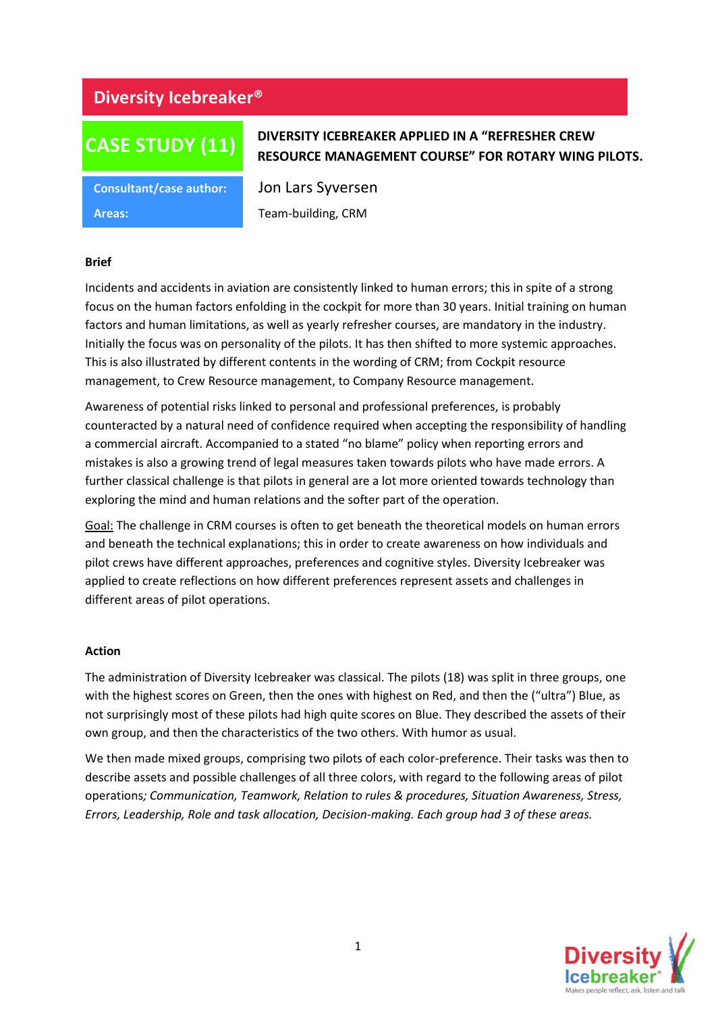## **Diversity Icebreaker®**

# **CASE STUDY (11)**

### **DIVERSITY ICEBREAKER APPLIED IN A "REFRESHER CREW RESOURCE MANAGEMENT COURSE" FOR ROTARY WING PILOTS.**

**Areas:** Team-building, CRM

**Consultant/case author:** Jon Lars Syversen

#### **Brief**

Incidents and accidents in aviation are consistently linked to human errors; this in spite of a strong focus on the human factors enfolding in the cockpit for more than 30 years. Initial training on human factors and human limitations, as well as yearly refresher courses, are mandatory in the industry. Initially the focus was on personality of the pilots. It has then shifted to more systemic approaches. This is also illustrated by different contents in the wording of CRM; from Cockpit resource management, to Crew Resource management, to Company Resource management.

Awareness of potential risks linked to personal and professional preferences, is probably counteracted by a natural need of confidence required when accepting the responsibility of handling a commercial aircraft. Accompanied to a stated "no blame" policy when reporting errors and mistakes is also a growing trend of legal measures taken towards pilots who have made errors. A further classical challenge is that pilots in general are a lot more oriented towards technology than exploring the mind and human relations and the softer part of the operation.

Goal: The challenge in CRM courses is often to get beneath the theoretical models on human errors and beneath the technical explanations; this in order to create awareness on how individuals and pilot crews have different approaches, preferences and cognitive styles. Diversity Icebreaker was applied to create reflections on how different preferences represent assets and challenges in different areas of pilot operations.

#### **Action**

The administration of Diversity Icebreaker was classical. The pilots (18) was split in three groups, one with the highest scores on Green, then the ones with highest on Red, and then the ("ultra") Blue, as not surprisingly most of these pilots had high quite scores on Blue. They described the assets of their own group, and then the characteristics of the two others. With humor as usual.

We then made mixed groups, comprising two pilots of each color-preference. Their tasks was then to describe assets and possible challenges of all three colors, with regard to the following areas of pilot operations*; Communication, Teamwork, Relation to rules & procedures, Situation Awareness, Stress, Errors, Leadership, Role and task allocation, Decision-making. Each group had 3 of these areas.*